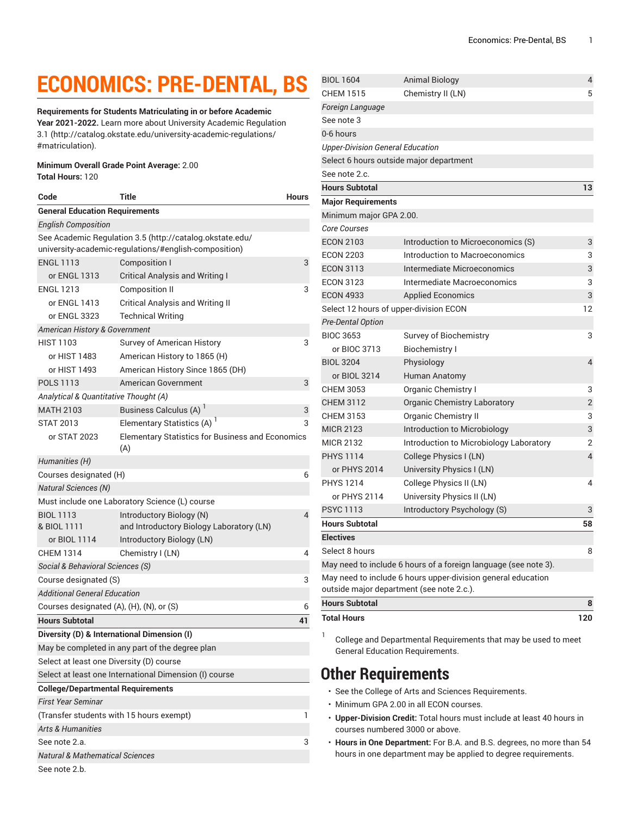# **ECONOMICS: PRE-DENTAL, BS**

**Requirements for Students Matriculating in or before Academic Year 2021-2022.** Learn more about University Academic [Regulation](http://catalog.okstate.edu/university-academic-regulations/#matriculation) [3.1](http://catalog.okstate.edu/university-academic-regulations/#matriculation) ([http://catalog.okstate.edu/university-academic-regulations/](http://catalog.okstate.edu/university-academic-regulations/#matriculation) [#matriculation\)](http://catalog.okstate.edu/university-academic-regulations/#matriculation).

#### **Minimum Overall Grade Point Average:** 2.00 **Total Hours:** 120

| Code                                        | Title                                                    | <b>Hours</b> |
|---------------------------------------------|----------------------------------------------------------|--------------|
| <b>General Education Requirements</b>       |                                                          |              |
| <b>English Composition</b>                  |                                                          |              |
|                                             | See Academic Regulation 3.5 (http://catalog.okstate.edu/ |              |
|                                             | university-academic-regulations/#english-composition)    |              |
| <b>ENGL 1113</b>                            | Composition I                                            | 3            |
| or ENGL 1313                                | <b>Critical Analysis and Writing I</b>                   |              |
| <b>ENGL 1213</b>                            | <b>Composition II</b>                                    | 3            |
| or ENGL 1413                                | <b>Critical Analysis and Writing II</b>                  |              |
| or ENGL 3323                                | <b>Technical Writing</b>                                 |              |
| <b>American History &amp; Government</b>    |                                                          |              |
| <b>HIST 1103</b>                            | Survey of American History                               | 3            |
| or HIST 1483                                | American History to 1865 (H)                             |              |
| or HIST 1493                                | American History Since 1865 (DH)                         |              |
| <b>POLS 1113</b>                            | <b>American Government</b>                               | 3            |
| Analytical & Quantitative Thought (A)       |                                                          |              |
| <b>MATH 2103</b>                            | Business Calculus (A) <sup>1</sup>                       | 3            |
| <b>STAT 2013</b>                            | Elementary Statistics (A) <sup>1</sup>                   | 3            |
| or STAT 2023                                | <b>Elementary Statistics for Business and Economics</b>  |              |
|                                             | (A)                                                      |              |
| Humanities (H)                              |                                                          |              |
| Courses designated (H)                      |                                                          | 6            |
| <b>Natural Sciences (N)</b>                 |                                                          |              |
|                                             | Must include one Laboratory Science (L) course           |              |
| <b>BIOL 1113</b>                            | Introductory Biology (N)                                 | 4            |
| & BIOL 1111                                 | and Introductory Biology Laboratory (LN)                 |              |
| or BIOL 1114                                | Introductory Biology (LN)                                |              |
| <b>CHEM 1314</b>                            | Chemistry I (LN)                                         | 4            |
| Social & Behavioral Sciences (S)            |                                                          |              |
| Course designated (S)                       |                                                          |              |
| <b>Additional General Education</b>         |                                                          |              |
| Courses designated (A), (H), (N), or (S)    |                                                          | 6            |
| <b>Hours Subtotal</b>                       |                                                          | 41           |
| Diversity (D) & International Dimension (I) |                                                          |              |
|                                             | May be completed in any part of the degree plan          |              |
| Select at least one Diversity (D) course    |                                                          |              |
|                                             | Select at least one International Dimension (I) course   |              |
| <b>College/Departmental Requirements</b>    |                                                          |              |
| <b>First Year Seminar</b>                   |                                                          |              |
| (Transfer students with 15 hours exempt)    |                                                          |              |
| <b>Arts &amp; Humanities</b>                |                                                          |              |
| See note 2.a.                               |                                                          | 3            |
| <b>Natural &amp; Mathematical Sciences</b>  |                                                          |              |
| See note 2.b.                               |                                                          |              |

| <b>BIOL 1604</b>                        | <b>Animal Biology</b>                                           | 4              |
|-----------------------------------------|-----------------------------------------------------------------|----------------|
| <b>CHEM 1515</b>                        | Chemistry II (LN)                                               | 5              |
| Foreign Language                        |                                                                 |                |
| See note 3                              |                                                                 |                |
| 0-6 hours                               |                                                                 |                |
| <b>Upper-Division General Education</b> |                                                                 |                |
|                                         | Select 6 hours outside major department                         |                |
| See note 2.c.                           |                                                                 |                |
| <b>Hours Subtotal</b>                   |                                                                 | 13             |
| <b>Major Requirements</b>               |                                                                 |                |
| Minimum major GPA 2.00.                 |                                                                 |                |
| <b>Core Courses</b>                     |                                                                 |                |
| <b>ECON 2103</b>                        | Introduction to Microeconomics (S)                              | 3              |
| <b>ECON 2203</b>                        | Introduction to Macroeconomics                                  | 3              |
| <b>ECON 3113</b>                        | Intermediate Microeconomics                                     | 3              |
| <b>ECON 3123</b>                        | Intermediate Macroeconomics                                     | 3              |
| <b>ECON 4933</b>                        | <b>Applied Economics</b>                                        | 3              |
|                                         | Select 12 hours of upper-division ECON                          | 12             |
| <b>Pre-Dental Option</b>                |                                                                 |                |
| <b>BIOC 3653</b>                        | Survey of Biochemistry                                          | 3              |
| or BIOC 3713                            | <b>Biochemistry I</b>                                           |                |
| <b>BIOL 3204</b>                        | Physiology                                                      | 4              |
| or BIOL 3214                            | Human Anatomy                                                   |                |
| <b>CHEM 3053</b>                        | Organic Chemistry I                                             | 3              |
| <b>CHEM 3112</b>                        | <b>Organic Chemistry Laboratory</b>                             | $\overline{2}$ |
| <b>CHEM 3153</b>                        | <b>Organic Chemistry II</b>                                     | 3              |
| <b>MICR 2123</b>                        | Introduction to Microbiology                                    | 3              |
| <b>MICR 2132</b>                        | Introduction to Microbiology Laboratory                         | 2              |
| <b>PHYS 1114</b>                        | College Physics I (LN)                                          | 4              |
| or PHYS 2014                            | University Physics I (LN)                                       |                |
| <b>PHYS 1214</b>                        | College Physics II (LN)                                         | 4              |
| or PHYS 2114                            | University Physics II (LN)                                      |                |
| <b>PSYC1113</b>                         | Introductory Psychology (S)                                     | 3              |
| <b>Hours Subtotal</b>                   |                                                                 | 58             |
| <b>Electives</b>                        |                                                                 |                |
| Select 8 hours                          |                                                                 | 8              |
|                                         | May need to include 6 hours of a foreign language (see note 3). |                |
|                                         | May need to include 6 hours upper-division general education    |                |
|                                         | outside major department (see note 2.c.).                       |                |
| <b>Hours Subtotal</b>                   |                                                                 | 8              |
| <b>Total Hours</b>                      |                                                                 | 120            |
|                                         |                                                                 |                |

College and Departmental Requirements that may be used to meet General Education Requirements.

### **Other Requirements**

1

- See the College of Arts and Sciences Requirements.
- Minimum GPA 2.00 in all ECON courses.
- **Upper-Division Credit:** Total hours must include at least 40 hours in courses numbered 3000 or above.
- **Hours in One Department:** For B.A. and B.S. degrees, no more than 54 hours in one department may be applied to degree requirements.